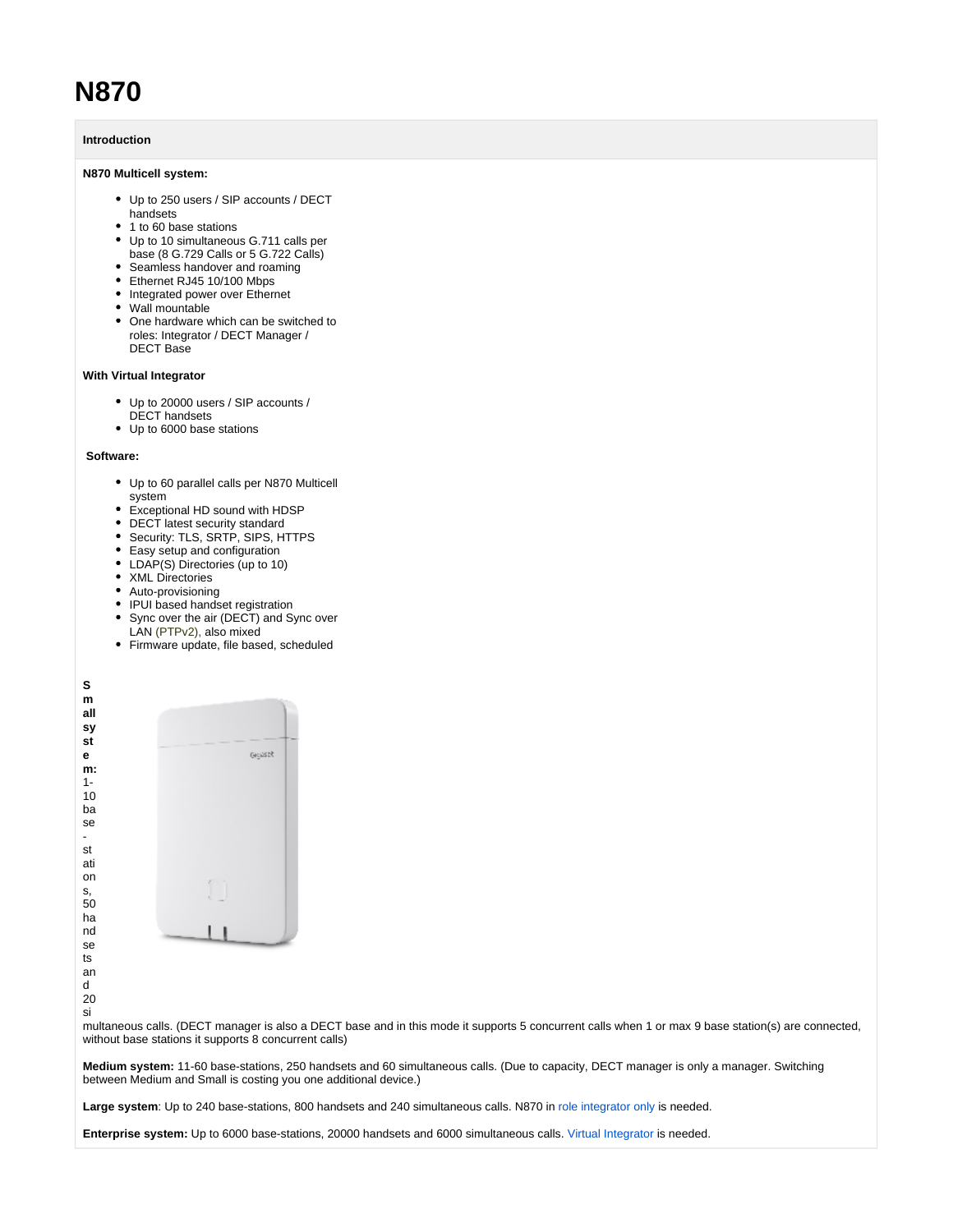# **N870**

## **Introduction**

## **N870 Multicell system:**

- Up to 250 users / SIP accounts / DECT
- handsets • 1 to 60 base stations
- 
- Up to 10 simultaneous G.711 calls per base (8 G.729 Calls or 5 G.722 Calls)
- Seamless handover and roaming
- Ethernet RJ45 10/100 Mbps
- Integrated power over Ethernet
- Wall mountable
- One hardware which can be switched to roles: Integrator / DECT Manager / DECT Base

#### **With Virtual Integrator**

- Up to 20000 users / SIP accounts / DECT handsets
- Up to 6000 base stations

### **Software:**

- Up to 60 parallel calls per N870 Multicell system
- Exceptional HD sound with HDSP
- DECT latest security standard
- Security: TLS, SRTP, SIPS, HTTPS
- Easy setup and configuration
- LDAP(S) Directories (up to 10)
- XML Directories
- Auto-provisioning
- IPUI based handset registration
- Sync over the air (DECT) and Sync over LAN (PTPv2), also mixed
- Firmware update, file based, scheduled

**S m all sy st e** Gejaset **m:** 1- 10 ba se st ati on s, 50 ha nd se ts an

- d 20
- si

multaneous calls. (DECT manager is also a DECT base and in this mode it supports 5 concurrent calls when 1 or max 9 base station(s) are connected, without base stations it supports 8 concurrent calls)

**Medium system:** 11-60 base-stations, 250 handsets and 60 simultaneous calls. (Due to capacity, DECT manager is only a manager. Switching between Medium and Small is costing you one additional device.)

**Large system**: Up to 240 base-stations, 800 handsets and 240 simultaneous calls. N870 in [role integrator only](https://teamwork.gigaset.com/gigawiki/display/GPPPO/FAQ+-+Integrator+role+N870+only) is needed.

**Enterprise system:** Up to 6000 base-stations, 20000 handsets and 6000 simultaneous calls. [Virtual Integrator](https://teamwork.gigaset.com/gigawiki/display/GPPPO/FAQ+Nx70+-+Integrator) is needed.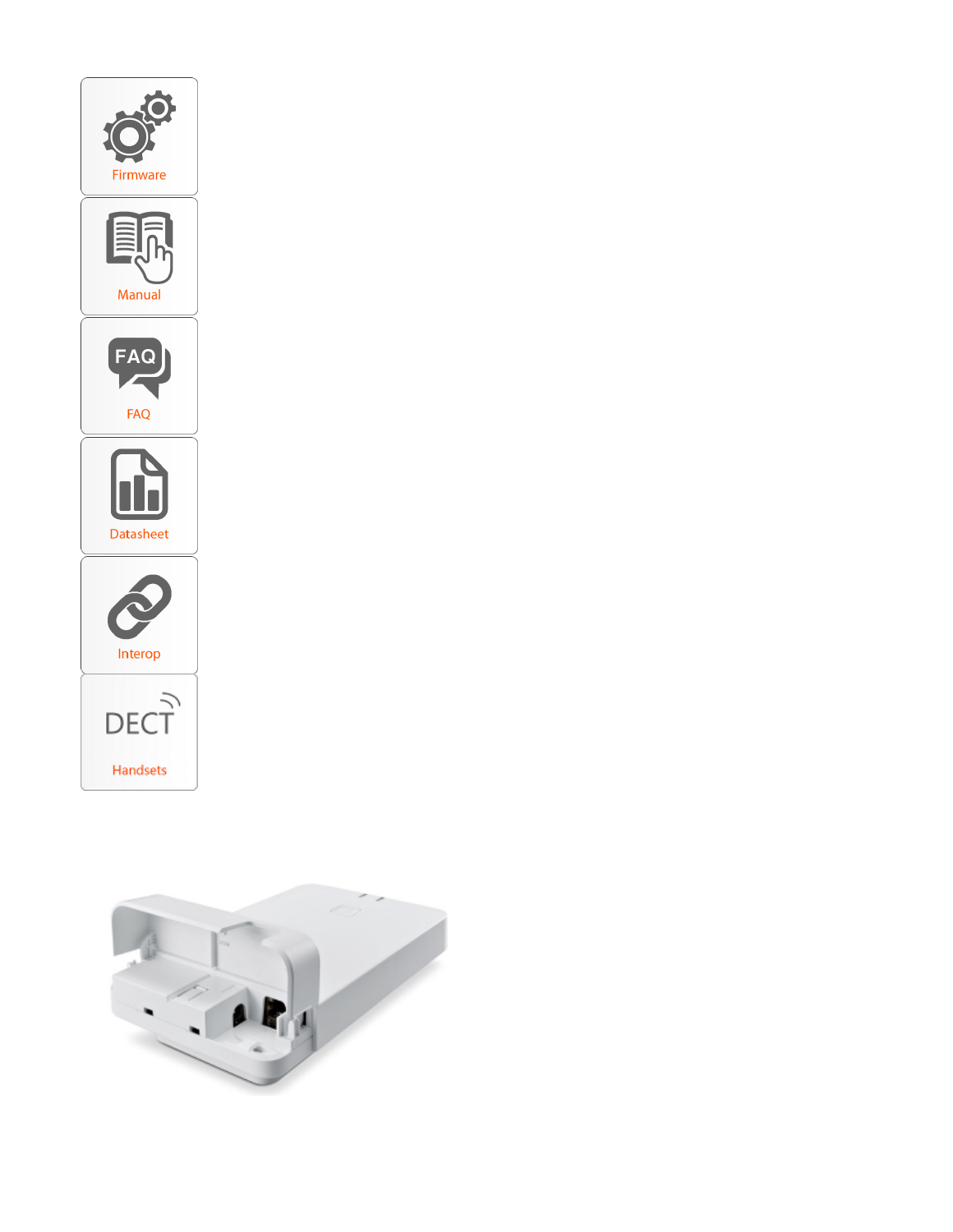

Handsets